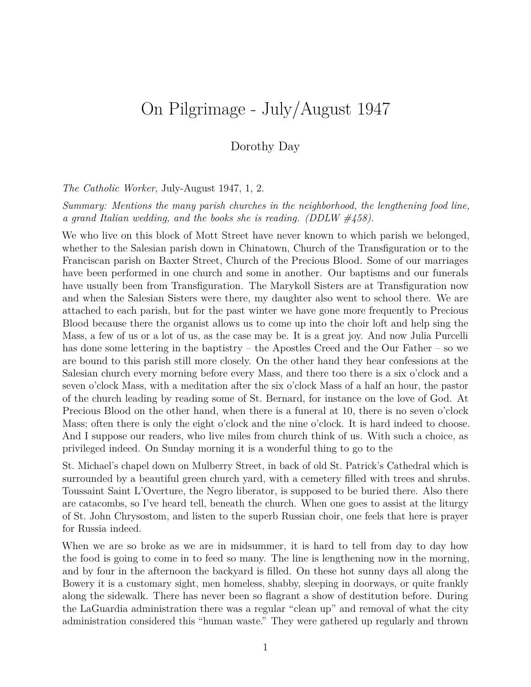# On Pilgrimage - July/August 1947

#### Dorothy Day

*The Catholic Worker*, July-August 1947, 1, 2.

*Summary: Mentions the many parish churches in the neighborhood, the lengthening food line, a grand Italian wedding, and the books she is reading. (DDLW #458).*

We who live on this block of Mott Street have never known to which parish we belonged, whether to the Salesian parish down in Chinatown, Church of the Transfiguration or to the Franciscan parish on Baxter Street, Church of the Precious Blood. Some of our marriages have been performed in one church and some in another. Our baptisms and our funerals have usually been from Transfiguration. The Marykoll Sisters are at Transfiguration now and when the Salesian Sisters were there, my daughter also went to school there. We are attached to each parish, but for the past winter we have gone more frequently to Precious Blood because there the organist allows us to come up into the choir loft and help sing the Mass, a few of us or a lot of us, as the case may be. It is a great joy. And now Julia Purcelli has done some lettering in the baptistry – the Apostles Creed and the Our Father – so we are bound to this parish still more closely. On the other hand they hear confessions at the Salesian church every morning before every Mass, and there too there is a six o'clock and a seven o'clock Mass, with a meditation after the six o'clock Mass of a half an hour, the pastor of the church leading by reading some of St. Bernard, for instance on the love of God. At Precious Blood on the other hand, when there is a funeral at 10, there is no seven o'clock Mass; often there is only the eight o'clock and the nine o'clock. It is hard indeed to choose. And I suppose our readers, who live miles from church think of us. With such a choice, as privileged indeed. On Sunday morning it is a wonderful thing to go to the

St. Michael's chapel down on Mulberry Street, in back of old St. Patrick's Cathedral which is surrounded by a beautiful green church yard, with a cemetery filled with trees and shrubs. Toussaint Saint L'Overture, the Negro liberator, is supposed to be buried there. Also there are catacombs, so I've heard tell, beneath the church. When one goes to assist at the liturgy of St. John Chrysostom, and listen to the superb Russian choir, one feels that here is prayer for Russia indeed.

When we are so broke as we are in midsummer, it is hard to tell from day to day how the food is going to come in to feed so many. The line is lengthening now in the morning, and by four in the afternoon the backyard is filled. On these hot sunny days all along the Bowery it is a customary sight, men homeless, shabby, sleeping in doorways, or quite frankly along the sidewalk. There has never been so flagrant a show of destitution before. During the LaGuardia administration there was a regular "clean up" and removal of what the city administration considered this "human waste." They were gathered up regularly and thrown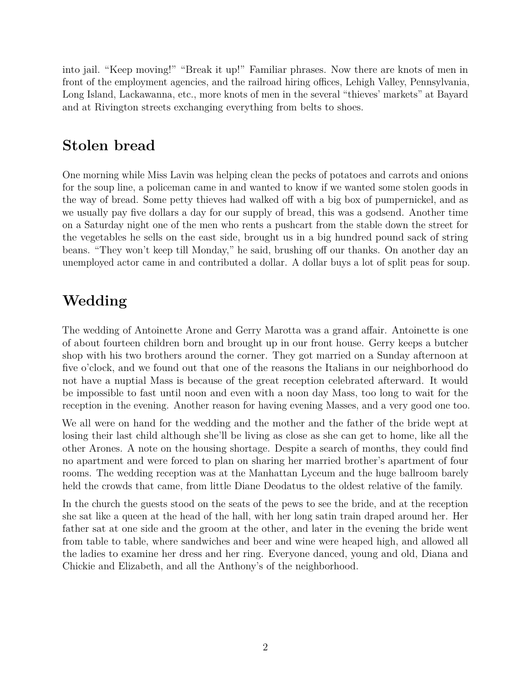into jail. "Keep moving!" "Break it up!" Familiar phrases. Now there are knots of men in front of the employment agencies, and the railroad hiring offices, Lehigh Valley, Pennsylvania, Long Island, Lackawanna, etc., more knots of men in the several "thieves' markets" at Bayard and at Rivington streets exchanging everything from belts to shoes.

### **Stolen bread**

One morning while Miss Lavin was helping clean the pecks of potatoes and carrots and onions for the soup line, a policeman came in and wanted to know if we wanted some stolen goods in the way of bread. Some petty thieves had walked off with a big box of pumpernickel, and as we usually pay five dollars a day for our supply of bread, this was a godsend. Another time on a Saturday night one of the men who rents a pushcart from the stable down the street for the vegetables he sells on the east side, brought us in a big hundred pound sack of string beans. "They won't keep till Monday," he said, brushing off our thanks. On another day an unemployed actor came in and contributed a dollar. A dollar buys a lot of split peas for soup.

## **Wedding**

The wedding of Antoinette Arone and Gerry Marotta was a grand affair. Antoinette is one of about fourteen children born and brought up in our front house. Gerry keeps a butcher shop with his two brothers around the corner. They got married on a Sunday afternoon at five o'clock, and we found out that one of the reasons the Italians in our neighborhood do not have a nuptial Mass is because of the great reception celebrated afterward. It would be impossible to fast until noon and even with a noon day Mass, too long to wait for the reception in the evening. Another reason for having evening Masses, and a very good one too.

We all were on hand for the wedding and the mother and the father of the bride wept at losing their last child although she'll be living as close as she can get to home, like all the other Arones. A note on the housing shortage. Despite a search of months, they could find no apartment and were forced to plan on sharing her married brother's apartment of four rooms. The wedding reception was at the Manhattan Lyceum and the huge ballroom barely held the crowds that came, from little Diane Deodatus to the oldest relative of the family.

In the church the guests stood on the seats of the pews to see the bride, and at the reception she sat like a queen at the head of the hall, with her long satin train draped around her. Her father sat at one side and the groom at the other, and later in the evening the bride went from table to table, where sandwiches and beer and wine were heaped high, and allowed all the ladies to examine her dress and her ring. Everyone danced, young and old, Diana and Chickie and Elizabeth, and all the Anthony's of the neighborhood.